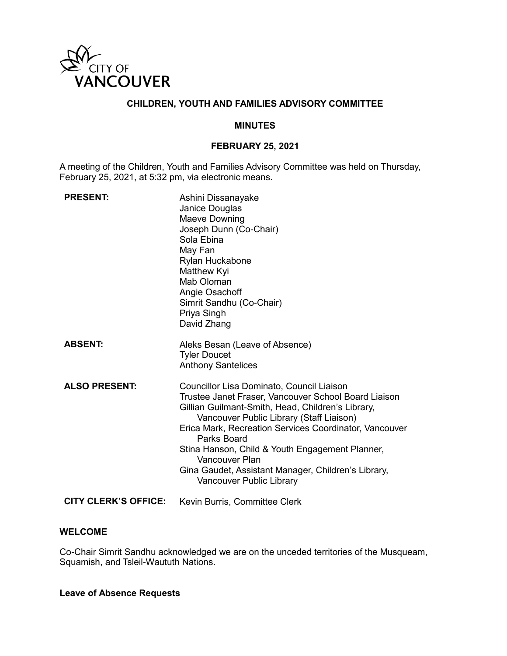

# **CHILDREN, YOUTH AND FAMILIES ADVISORY COMMITTEE**

#### **MINUTES**

### **FEBRUARY 25, 2021**

A meeting of the Children, Youth and Families Advisory Committee was held on Thursday, February 25, 2021, at 5:32 pm, via electronic means.

| <b>PRESENT:</b>             | Ashini Dissanayake<br>Janice Douglas<br>Maeve Downing<br>Joseph Dunn (Co-Chair)<br>Sola Ebina<br>May Fan<br>Rylan Huckabone<br>Matthew Kyi<br>Mab Oloman<br>Angie Osachoff<br>Simrit Sandhu (Co-Chair)<br>Priya Singh<br>David Zhang                                                                                                                                                                                                |
|-----------------------------|-------------------------------------------------------------------------------------------------------------------------------------------------------------------------------------------------------------------------------------------------------------------------------------------------------------------------------------------------------------------------------------------------------------------------------------|
| <b>ABSENT:</b>              | Aleks Besan (Leave of Absence)<br><b>Tyler Doucet</b><br><b>Anthony Santelices</b>                                                                                                                                                                                                                                                                                                                                                  |
| <b>ALSO PRESENT:</b>        | Councillor Lisa Dominato, Council Liaison<br>Trustee Janet Fraser, Vancouver School Board Liaison<br>Gillian Guilmant-Smith, Head, Children's Library,<br>Vancouver Public Library (Staff Liaison)<br>Erica Mark, Recreation Services Coordinator, Vancouver<br>Parks Board<br>Stina Hanson, Child & Youth Engagement Planner,<br>Vancouver Plan<br>Gina Gaudet, Assistant Manager, Children's Library,<br>Vancouver Public Library |
| <b>CITY CLERK'S OFFICE:</b> | Kevin Burris, Committee Clerk                                                                                                                                                                                                                                                                                                                                                                                                       |

#### **WELCOME**

Co-Chair Simrit Sandhu acknowledged we are on the unceded territories of the Musqueam, Squamish, and Tsleil-Waututh Nations.

#### **Leave of Absence Requests**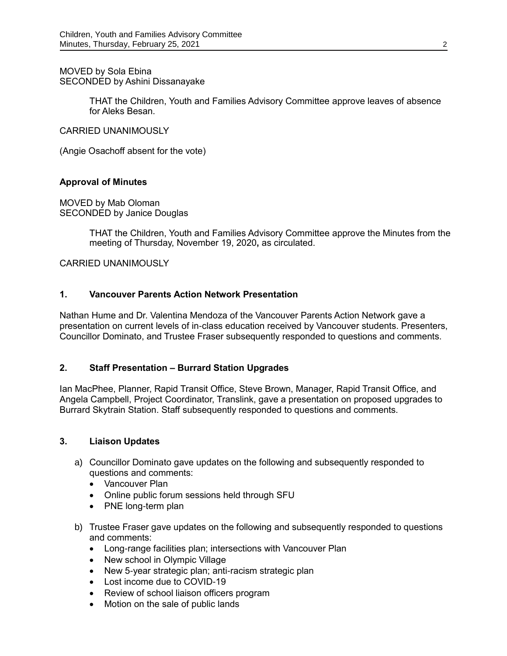MOVED by Sola Ebina SECONDED by Ashini Dissanayake

> THAT the Children, Youth and Families Advisory Committee approve leaves of absence for Aleks Besan.

CARRIED UNANIMOUSLY

(Angie Osachoff absent for the vote)

#### **Approval of Minutes**

MOVED by Mab Oloman SECONDED by Janice Douglas

> THAT the Children, Youth and Families Advisory Committee approve the Minutes from the meeting of Thursday, November 19, 2020**,** as circulated.

CARRIED UNANIMOUSLY

#### **1. Vancouver Parents Action Network Presentation**

Nathan Hume and Dr. Valentina Mendoza of the Vancouver Parents Action Network gave a presentation on current levels of in-class education received by Vancouver students. Presenters, Councillor Dominato, and Trustee Fraser subsequently responded to questions and comments.

#### **2. Staff Presentation – Burrard Station Upgrades**

Ian MacPhee, Planner, Rapid Transit Office, Steve Brown, Manager, Rapid Transit Office, and Angela Campbell, Project Coordinator, Translink, gave a presentation on proposed upgrades to Burrard Skytrain Station. Staff subsequently responded to questions and comments.

#### **3. Liaison Updates**

- a) Councillor Dominato gave updates on the following and subsequently responded to questions and comments:
	- Vancouver Plan
	- Online public forum sessions held through SFU
	- PNE long-term plan
- b) Trustee Fraser gave updates on the following and subsequently responded to questions and comments:
	- Long-range facilities plan; intersections with Vancouver Plan
	- New school in Olympic Village
	- New 5-year strategic plan; anti-racism strategic plan
	- Lost income due to COVID-19
	- Review of school liaison officers program
	- Motion on the sale of public lands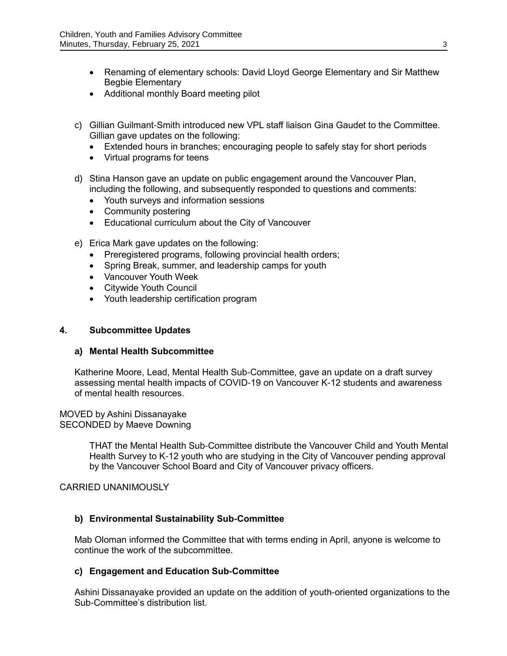- Renaming of elementary schools: David Lloyd George Elementary and Sir Matthew Begbie Elementary
- Additional monthly Board meeting pilot
- c) Gillian Guilmant-Smith introduced new VPL staff liaison Gina Gaudet to the Committee. Gillian gave updates on the following:
	- Extended hours in branches; encouraging people to safely stay for short periods
	- Virtual programs for teens
- d) Stina Hanson gave an update on public engagement around the Vancouver Plan, including the following, and subsequently responded to questions and comments:
	- Youth surveys and information sessions
	- Community postering
	- Educational curriculum about the City of Vancouver
- e) Erica Mark gave updates on the following:
	- Preregistered programs, following provincial health orders;
	- Spring Break, summer, and leadership camps for youth
	- Vancouver Youth Week
	- Citywide Youth Council
	- Youth leadership certification program

### **4. Subcommittee Updates**

#### **a) Mental Health Subcommittee**

Katherine Moore, Lead, Mental Health Sub-Committee, gave an update on a draft survey assessing mental health impacts of COVID-19 on Vancouver K-12 students and awareness of mental health resources.

MOVED by Ashini Dissanayake SECONDED by Maeve Downing

> THAT the Mental Health Sub-Committee distribute the Vancouver Child and Youth Mental Health Survey to K-12 youth who are studying in the City of Vancouver pending approval by the Vancouver School Board and City of Vancouver privacy officers.

#### CARRIED UNANIMOUSLY

#### **b) Environmental Sustainability Sub-Committee**

Mab Oloman informed the Committee that with terms ending in April, anyone is welcome to continue the work of the subcommittee.

#### **c) Engagement and Education Sub-Committee**

Ashini Dissanayake provided an update on the addition of youth-oriented organizations to the Sub-Committee's distribution list.